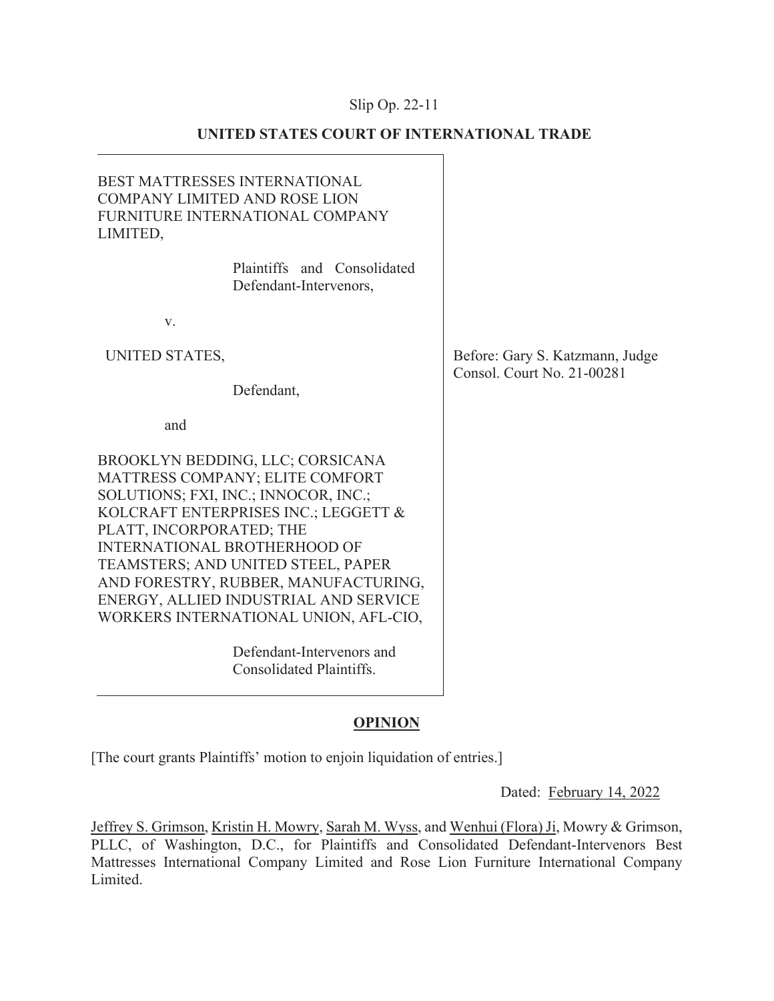# Slip Op. 22-11

# **UNITED STATES COURT OF INTERNATIONAL TRADE**

| <b>BEST MATTRESSES INTERNATIONAL</b><br><b>COMPANY LIMITED AND ROSE LION</b><br>FURNITURE INTERNATIONAL COMPANY<br>LIMITED,                                                                                                                                                                                                                                                            |                                                               |
|----------------------------------------------------------------------------------------------------------------------------------------------------------------------------------------------------------------------------------------------------------------------------------------------------------------------------------------------------------------------------------------|---------------------------------------------------------------|
| Plaintiffs and Consolidated<br>Defendant-Intervenors,                                                                                                                                                                                                                                                                                                                                  |                                                               |
| V.                                                                                                                                                                                                                                                                                                                                                                                     |                                                               |
| UNITED STATES,                                                                                                                                                                                                                                                                                                                                                                         | Before: Gary S. Katzmann, Judge<br>Consol. Court No. 21-00281 |
| Defendant,                                                                                                                                                                                                                                                                                                                                                                             |                                                               |
| and                                                                                                                                                                                                                                                                                                                                                                                    |                                                               |
| BROOKLYN BEDDING, LLC; CORSICANA<br>MATTRESS COMPANY; ELITE COMFORT<br>SOLUTIONS; FXI, INC.; INNOCOR, INC.;<br>KOLCRAFT ENTERPRISES INC.; LEGGETT &<br>PLATT, INCORPORATED; THE<br><b>INTERNATIONAL BROTHERHOOD OF</b><br>TEAMSTERS; AND UNITED STEEL, PAPER<br>AND FORESTRY, RUBBER, MANUFACTURING,<br>ENERGY, ALLIED INDUSTRIAL AND SERVICE<br>WORKERS INTERNATIONAL UNION, AFL-CIO, |                                                               |
| Defendant-Intervenors and<br>Consolidated Plaintiffs.                                                                                                                                                                                                                                                                                                                                  |                                                               |

# **OPINION**

[The court grants Plaintiffs' motion to enjoin liquidation of entries.]

Dated: February 14, 2022

Jeffrey S. Grimson, Kristin H. Mowry, Sarah M. Wyss, and Wenhui (Flora) Ji, Mowry & Grimson, PLLC, of Washington, D.C., for Plaintiffs and Consolidated Defendant-Intervenors Best Mattresses International Company Limited and Rose Lion Furniture International Company Limited.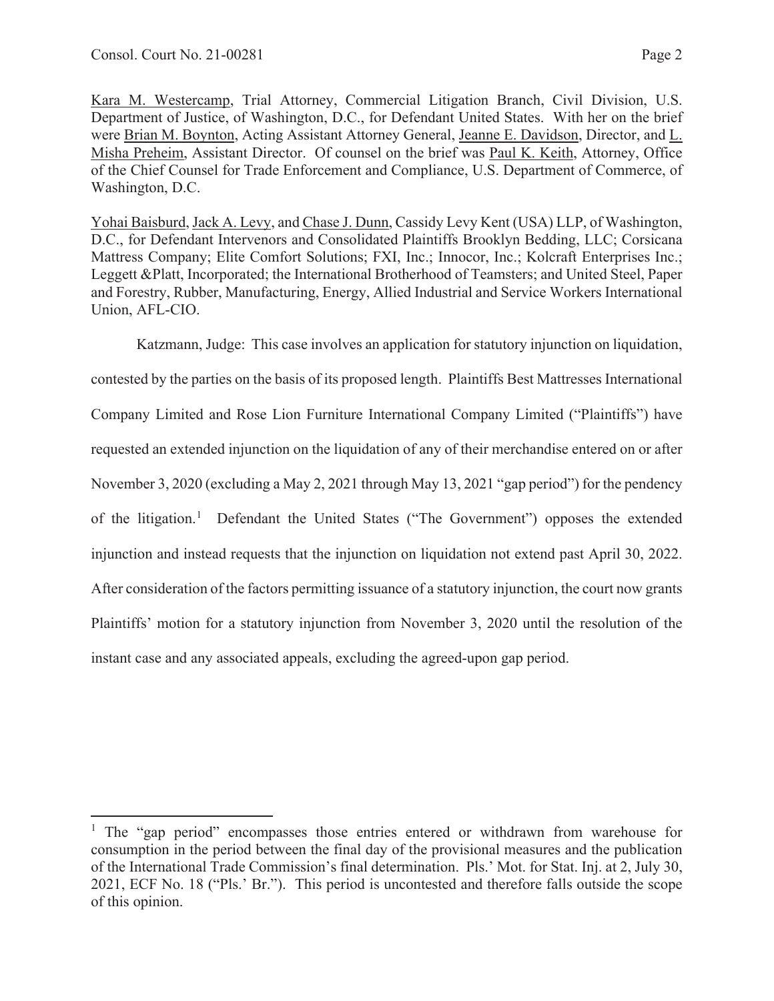Kara M. Westercamp, Trial Attorney, Commercial Litigation Branch, Civil Division, U.S. Department of Justice, of Washington, D.C., for Defendant United States. With her on the brief were Brian M. Boynton, Acting Assistant Attorney General, Jeanne E. Davidson, Director, and L. Misha Preheim, Assistant Director. Of counsel on the brief was Paul K. Keith, Attorney, Office of the Chief Counsel for Trade Enforcement and Compliance, U.S. Department of Commerce, of Washington, D.C.

Yohai Baisburd, Jack A. Levy, and Chase J. Dunn, Cassidy Levy Kent (USA) LLP, of Washington, D.C., for Defendant Intervenors and Consolidated Plaintiffs Brooklyn Bedding, LLC; Corsicana Mattress Company; Elite Comfort Solutions; FXI, Inc.; Innocor, Inc.; Kolcraft Enterprises Inc.; Leggett &Platt, Incorporated; the International Brotherhood of Teamsters; and United Steel, Paper and Forestry, Rubber, Manufacturing, Energy, Allied Industrial and Service Workers International Union, AFL-CIO.

Katzmann, Judge: This case involves an application for statutory injunction on liquidation, contested by the parties on the basis of its proposed length. Plaintiffs Best Mattresses International Company Limited and Rose Lion Furniture International Company Limited ("Plaintiffs") have requested an extended injunction on the liquidation of any of their merchandise entered on or after November 3, 2020 (excluding a May 2, 2021 through May 13, 2021 "gap period") for the pendency of the litigation.<sup>1</sup> Defendant the United States ("The Government") opposes the extended injunction and instead requests that the injunction on liquidation not extend past April 30, 2022. After consideration of the factors permitting issuance of a statutory injunction, the court now grants Plaintiffs' motion for a statutory injunction from November 3, 2020 until the resolution of the instant case and any associated appeals, excluding the agreed-upon gap period.

<sup>&</sup>lt;sup>1</sup> The "gap period" encompasses those entries entered or withdrawn from warehouse for consumption in the period between the final day of the provisional measures and the publication of the International Trade Commission's final determination. Pls.' Mot. for Stat. Inj. at 2, July 30, 2021, ECF No. 18 ("Pls.' Br."). This period is uncontested and therefore falls outside the scope of this opinion.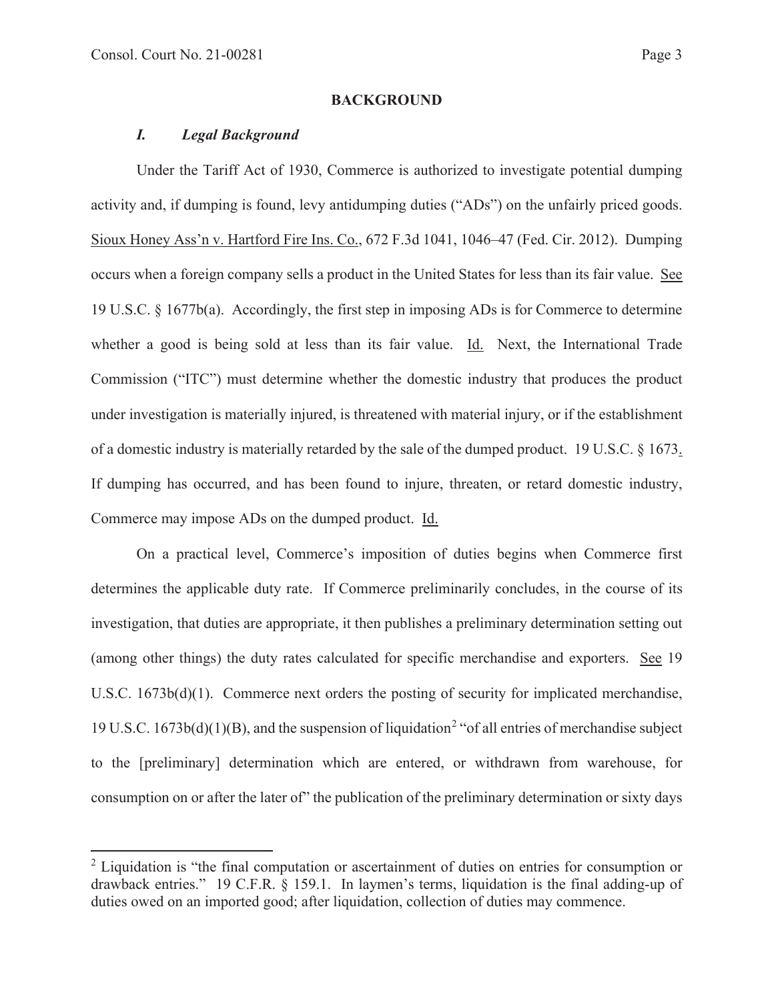### **BACKGROUND**

## *I. Legal Background*

Under the Tariff Act of 1930, Commerce is authorized to investigate potential dumping activity and, if dumping is found, levy antidumping duties ("ADs") on the unfairly priced goods. Sioux Honey Ass'n v. Hartford Fire Ins. Co., 672 F.3d 1041, 1046–47 (Fed. Cir. 2012). Dumping occurs when a foreign company sells a product in the United States for less than its fair value. See 19 U.S.C. § 1677b(a). Accordingly, the first step in imposing ADs is for Commerce to determine whether a good is being sold at less than its fair value. Id. Next, the International Trade Commission ("ITC") must determine whether the domestic industry that produces the product under investigation is materially injured, is threatened with material injury, or if the establishment of a domestic industry is materially retarded by the sale of the dumped product. 19 U.S.C. § 1673. If dumping has occurred, and has been found to injure, threaten, or retard domestic industry, Commerce may impose ADs on the dumped product. Id.

On a practical level, Commerce's imposition of duties begins when Commerce first determines the applicable duty rate. If Commerce preliminarily concludes, in the course of its investigation, that duties are appropriate, it then publishes a preliminary determination setting out (among other things) the duty rates calculated for specific merchandise and exporters. See 19 U.S.C. 1673b(d)(1). Commerce next orders the posting of security for implicated merchandise, 19 U.S.C.  $1673b(d)(1)(B)$ , and the suspension of liquidation<sup>2</sup> "of all entries of merchandise subject to the [preliminary] determination which are entered, or withdrawn from warehouse, for consumption on or after the later of" the publication of the preliminary determination or sixty days

<sup>&</sup>lt;sup>2</sup> Liquidation is "the final computation or ascertainment of duties on entries for consumption or drawback entries." 19 C.F.R. § 159.1. In laymen's terms, liquidation is the final adding-up of duties owed on an imported good; after liquidation, collection of duties may commence.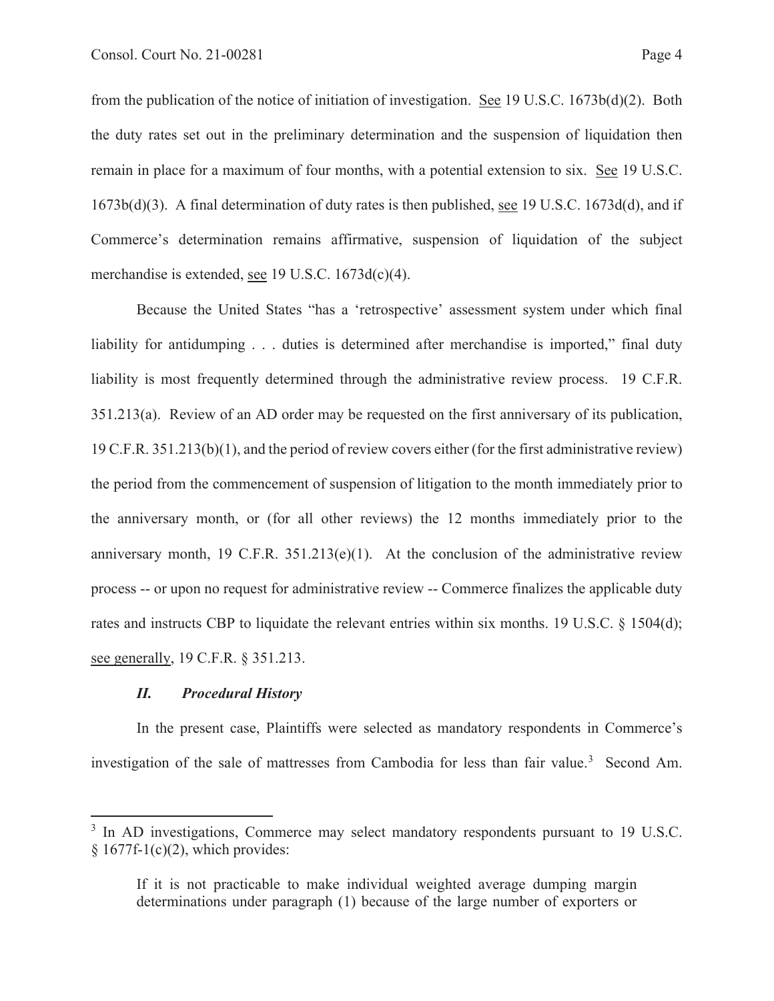from the publication of the notice of initiation of investigation. See 19 U.S.C. 1673b(d)(2). Both the duty rates set out in the preliminary determination and the suspension of liquidation then remain in place for a maximum of four months, with a potential extension to six. See 19 U.S.C. 1673b(d)(3). A final determination of duty rates is then published, see 19 U.S.C. 1673d(d), and if Commerce's determination remains affirmative, suspension of liquidation of the subject merchandise is extended, see 19 U.S.C. 1673d(c)(4).

Because the United States "has a 'retrospective' assessment system under which final liability for antidumping . . . duties is determined after merchandise is imported," final duty liability is most frequently determined through the administrative review process. 19 C.F.R. 351.213(a). Review of an AD order may be requested on the first anniversary of its publication, 19 C.F.R. 351.213(b)(1), and the period of review covers either (for the first administrative review) the period from the commencement of suspension of litigation to the month immediately prior to the anniversary month, or (for all other reviews) the 12 months immediately prior to the anniversary month, 19 C.F.R.  $351.213(e)(1)$ . At the conclusion of the administrative review process -- or upon no request for administrative review -- Commerce finalizes the applicable duty rates and instructs CBP to liquidate the relevant entries within six months. 19 U.S.C. § 1504(d); see generally, 19 C.F.R. § 351.213.

# *II. Procedural History*

In the present case, Plaintiffs were selected as mandatory respondents in Commerce's investigation of the sale of mattresses from Cambodia for less than fair value.<sup>3</sup> Second Am.

<sup>&</sup>lt;sup>3</sup> In AD investigations, Commerce may select mandatory respondents pursuant to 19 U.S.C.  $§ 1677f-1(c)(2)$ , which provides:

If it is not practicable to make individual weighted average dumping margin determinations under paragraph (1) because of the large number of exporters or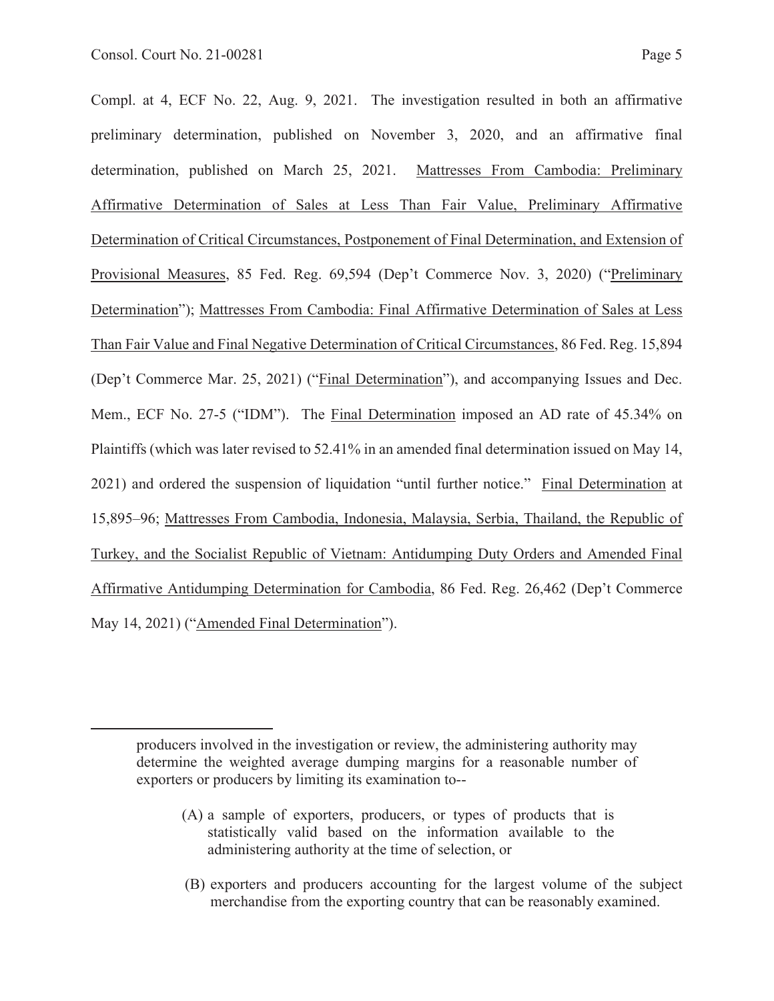Compl. at 4, ECF No. 22, Aug. 9, 2021. The investigation resulted in both an affirmative preliminary determination, published on November 3, 2020, and an affirmative final determination, published on March 25, 2021. Mattresses From Cambodia: Preliminary Affirmative Determination of Sales at Less Than Fair Value, Preliminary Affirmative Determination of Critical Circumstances, Postponement of Final Determination, and Extension of Provisional Measures, 85 Fed. Reg. 69,594 (Dep't Commerce Nov. 3, 2020) ("Preliminary Determination"); Mattresses From Cambodia: Final Affirmative Determination of Sales at Less Than Fair Value and Final Negative Determination of Critical Circumstances, 86 Fed. Reg. 15,894 (Dep't Commerce Mar. 25, 2021) ("Final Determination"), and accompanying Issues and Dec. Mem., ECF No. 27-5 ("IDM"). The Final Determination imposed an AD rate of 45.34% on Plaintiffs (which was later revised to 52.41% in an amended final determination issued on May 14, 2021) and ordered the suspension of liquidation "until further notice." Final Determination at 15,895–96; Mattresses From Cambodia, Indonesia, Malaysia, Serbia, Thailand, the Republic of Turkey, and the Socialist Republic of Vietnam: Antidumping Duty Orders and Amended Final Affirmative Antidumping Determination for Cambodia, 86 Fed. Reg. 26,462 (Dep't Commerce May 14, 2021) ("Amended Final Determination").

producers involved in the investigation or review, the administering authority may determine the weighted average dumping margins for a reasonable number of exporters or producers by limiting its examination to--

- (A) a sample of exporters, producers, or types of products that is statistically valid based on the information available to the administering authority at the time of selection, or
- (B) exporters and producers accounting for the largest volume of the subject merchandise from the exporting country that can be reasonably examined.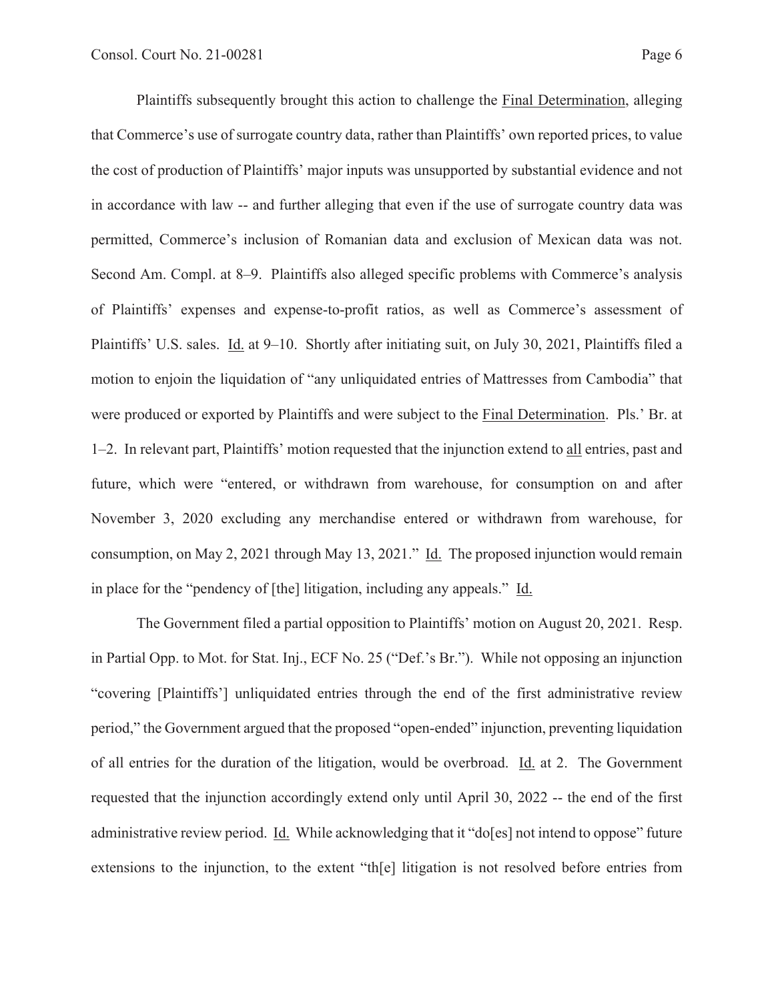Plaintiffs subsequently brought this action to challenge the Final Determination, alleging that Commerce's use of surrogate country data, rather than Plaintiffs' own reported prices, to value the cost of production of Plaintiffs' major inputs was unsupported by substantial evidence and not in accordance with law -- and further alleging that even if the use of surrogate country data was permitted, Commerce's inclusion of Romanian data and exclusion of Mexican data was not. Second Am. Compl. at 8–9. Plaintiffs also alleged specific problems with Commerce's analysis of Plaintiffs' expenses and expense-to-profit ratios, as well as Commerce's assessment of Plaintiffs' U.S. sales. Id. at 9–10. Shortly after initiating suit, on July 30, 2021, Plaintiffs filed a motion to enjoin the liquidation of "any unliquidated entries of Mattresses from Cambodia" that were produced or exported by Plaintiffs and were subject to the Final Determination. Pls.' Br. at 1–2. In relevant part, Plaintiffs' motion requested that the injunction extend to all entries, past and future, which were "entered, or withdrawn from warehouse, for consumption on and after November 3, 2020 excluding any merchandise entered or withdrawn from warehouse, for consumption, on May 2, 2021 through May 13, 2021." Id. The proposed injunction would remain in place for the "pendency of [the] litigation, including any appeals." Id.

The Government filed a partial opposition to Plaintiffs' motion on August 20, 2021. Resp. in Partial Opp. to Mot. for Stat. Inj., ECF No. 25 ("Def.'s Br."). While not opposing an injunction "covering [Plaintiffs'] unliquidated entries through the end of the first administrative review period," the Government argued that the proposed "open-ended" injunction, preventing liquidation of all entries for the duration of the litigation, would be overbroad. Id. at 2. The Government requested that the injunction accordingly extend only until April 30, 2022 -- the end of the first administrative review period. Id. While acknowledging that it "do[es] not intend to oppose" future extensions to the injunction, to the extent "th[e] litigation is not resolved before entries from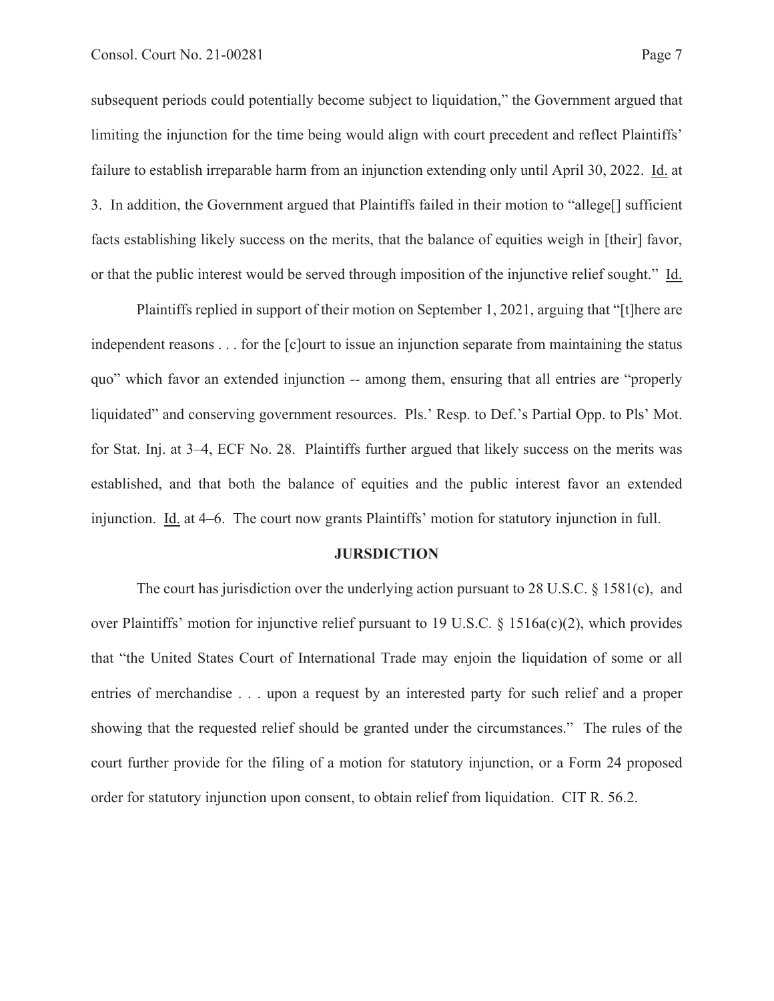subsequent periods could potentially become subject to liquidation," the Government argued that limiting the injunction for the time being would align with court precedent and reflect Plaintiffs' failure to establish irreparable harm from an injunction extending only until April 30, 2022. Id. at 3. In addition, the Government argued that Plaintiffs failed in their motion to "allege[] sufficient facts establishing likely success on the merits, that the balance of equities weigh in [their] favor, or that the public interest would be served through imposition of the injunctive relief sought." Id.

Plaintiffs replied in support of their motion on September 1, 2021, arguing that "[t]here are independent reasons . . . for the [c]ourt to issue an injunction separate from maintaining the status quo" which favor an extended injunction -- among them, ensuring that all entries are "properly liquidated" and conserving government resources. Pls.' Resp. to Def.'s Partial Opp. to Pls' Mot. for Stat. Inj. at 3–4, ECF No. 28. Plaintiffs further argued that likely success on the merits was established, and that both the balance of equities and the public interest favor an extended injunction. Id. at 4–6. The court now grants Plaintiffs' motion for statutory injunction in full.

### **JURSDICTION**

The court has jurisdiction over the underlying action pursuant to 28 U.S.C. § 1581(c), and over Plaintiffs' motion for injunctive relief pursuant to 19 U.S.C.  $\S$  1516a(c)(2), which provides that "the United States Court of International Trade may enjoin the liquidation of some or all entries of merchandise . . . upon a request by an interested party for such relief and a proper showing that the requested relief should be granted under the circumstances." The rules of the court further provide for the filing of a motion for statutory injunction, or a Form 24 proposed order for statutory injunction upon consent, to obtain relief from liquidation. CIT R. 56.2.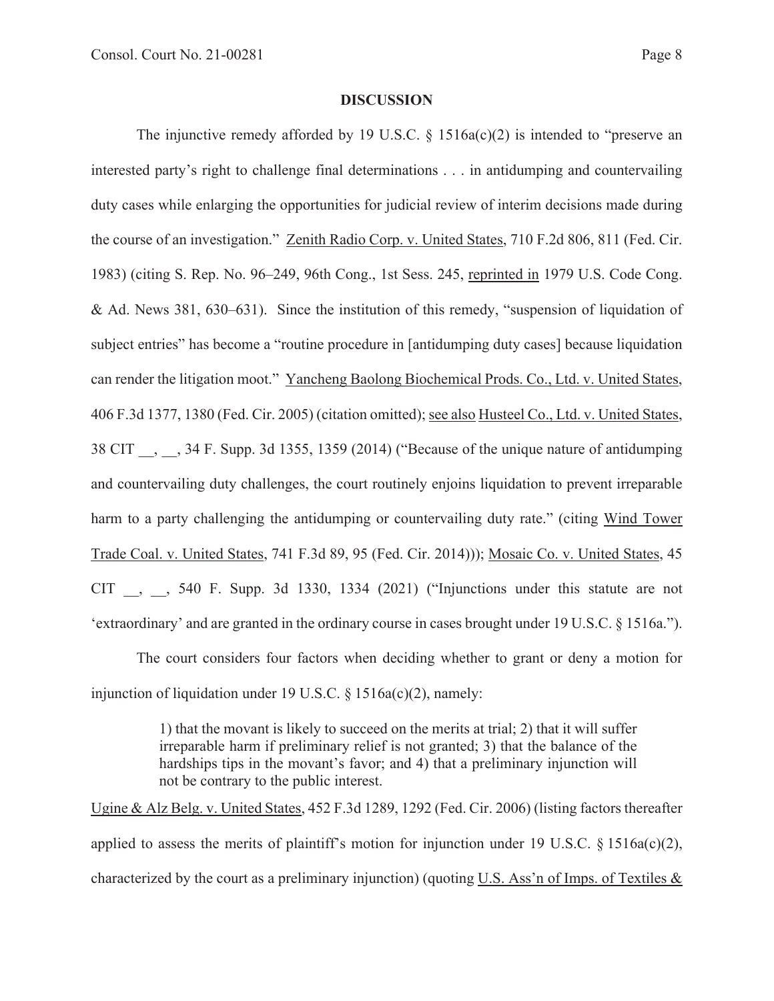#### **DISCUSSION**

The injunctive remedy afforded by 19 U.S.C.  $\S$  1516a(c)(2) is intended to "preserve an interested party's right to challenge final determinations . . . in antidumping and countervailing duty cases while enlarging the opportunities for judicial review of interim decisions made during the course of an investigation." Zenith Radio Corp. v. United States, 710 F.2d 806, 811 (Fed. Cir. 1983) (citing S. Rep. No. 96–249, 96th Cong., 1st Sess. 245, reprinted in 1979 U.S. Code Cong. & Ad. News 381, 630–631). Since the institution of this remedy, "suspension of liquidation of subject entries" has become a "routine procedure in [antidumping duty cases] because liquidation can render the litigation moot." Yancheng Baolong Biochemical Prods. Co., Ltd. v. United States, 406 F.3d 1377, 1380 (Fed. Cir. 2005) (citation omitted); see also Husteel Co., Ltd. v. United States, 38 CIT \_\_, \_\_, 34 F. Supp. 3d 1355, 1359 (2014) ("Because of the unique nature of antidumping and countervailing duty challenges, the court routinely enjoins liquidation to prevent irreparable harm to a party challenging the antidumping or countervailing duty rate." (citing Wind Tower Trade Coal. v. United States, 741 F.3d 89, 95 (Fed. Cir. 2014))); Mosaic Co. v. United States, 45 CIT \_\_, \_\_, 540 F. Supp. 3d 1330, 1334 (2021) ("Injunctions under this statute are not 'extraordinary' and are granted in the ordinary course in cases brought under 19 U.S.C. § 1516a.").

The court considers four factors when deciding whether to grant or deny a motion for injunction of liquidation under 19 U.S.C. § 1516a(c)(2), namely:

> 1) that the movant is likely to succeed on the merits at trial; 2) that it will suffer irreparable harm if preliminary relief is not granted; 3) that the balance of the hardships tips in the movant's favor; and 4) that a preliminary injunction will not be contrary to the public interest.

Ugine & Alz Belg. v. United States, 452 F.3d 1289, 1292 (Fed. Cir. 2006) (listing factors thereafter applied to assess the merits of plaintiff's motion for injunction under 19 U.S.C.  $\S$  1516a(c)(2), characterized by the court as a preliminary injunction) (quoting U.S. Ass'n of Imps. of Textiles &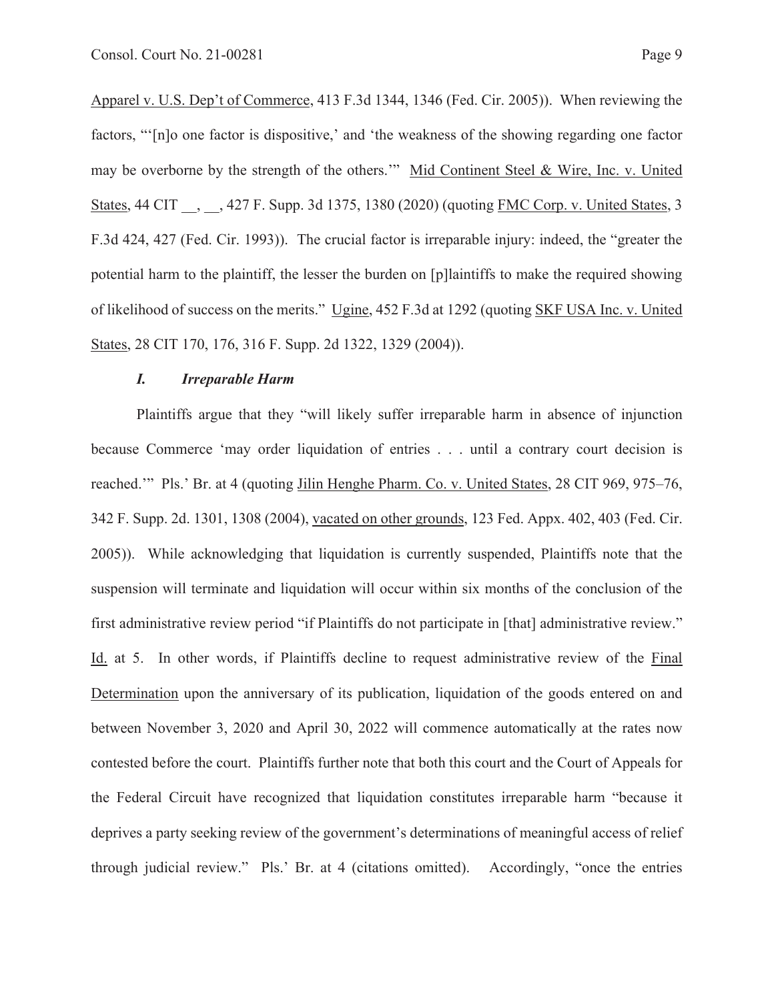Apparel v. U.S. Dep't of Commerce, 413 F.3d 1344, 1346 (Fed. Cir. 2005)). When reviewing the factors, "'[n]o one factor is dispositive,' and 'the weakness of the showing regarding one factor may be overborne by the strength of the others.'" Mid Continent Steel & Wire, Inc. v. United States, 44 CIT , , 427 F. Supp. 3d 1375, 1380 (2020) (quoting FMC Corp. v. United States, 3 F.3d 424, 427 (Fed. Cir. 1993)). The crucial factor is irreparable injury: indeed, the "greater the potential harm to the plaintiff, the lesser the burden on [p]laintiffs to make the required showing of likelihood of success on the merits." Ugine, 452 F.3d at 1292 (quoting SKF USA Inc. v. United States, 28 CIT 170, 176, 316 F. Supp. 2d 1322, 1329 (2004)).

### *I. Irreparable Harm*

Plaintiffs argue that they "will likely suffer irreparable harm in absence of injunction because Commerce 'may order liquidation of entries . . . until a contrary court decision is reached.'" Pls.' Br. at 4 (quoting Jilin Henghe Pharm. Co. v. United States, 28 CIT 969, 975–76, 342 F. Supp. 2d. 1301, 1308 (2004), vacated on other grounds, 123 Fed. Appx. 402, 403 (Fed. Cir. 2005)). While acknowledging that liquidation is currently suspended, Plaintiffs note that the suspension will terminate and liquidation will occur within six months of the conclusion of the first administrative review period "if Plaintiffs do not participate in [that] administrative review." Id. at 5. In other words, if Plaintiffs decline to request administrative review of the Final Determination upon the anniversary of its publication, liquidation of the goods entered on and between November 3, 2020 and April 30, 2022 will commence automatically at the rates now contested before the court. Plaintiffs further note that both this court and the Court of Appeals for the Federal Circuit have recognized that liquidation constitutes irreparable harm "because it deprives a party seeking review of the government's determinations of meaningful access of relief through judicial review." Pls.' Br. at 4 (citations omitted). Accordingly, "once the entries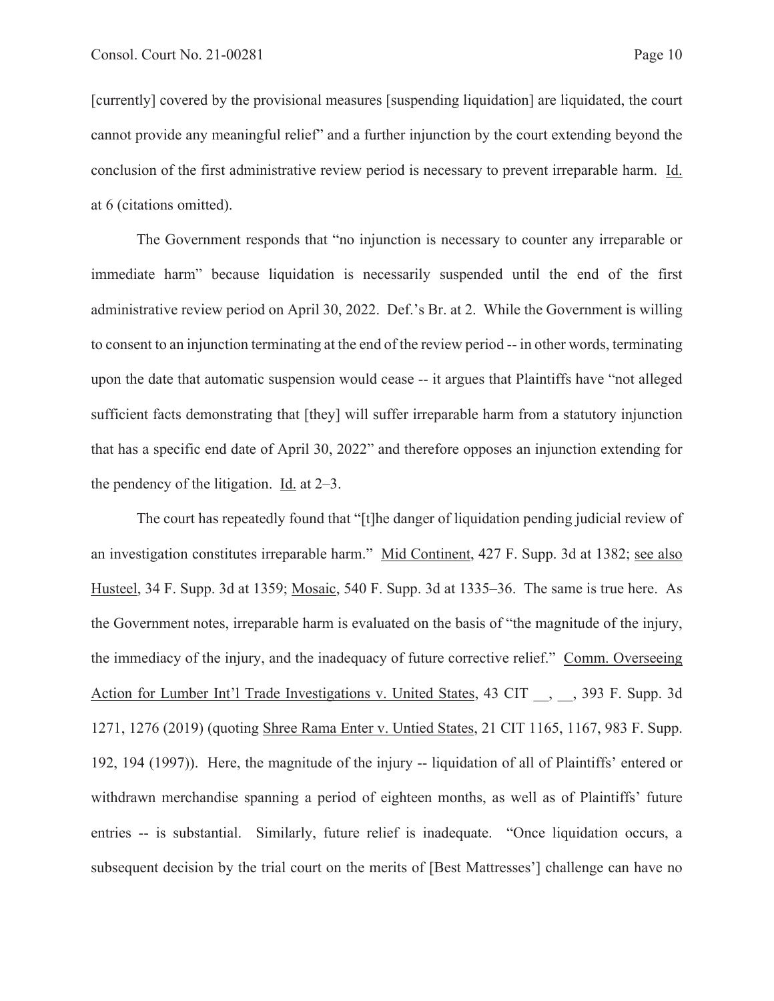[currently] covered by the provisional measures [suspending liquidation] are liquidated, the court cannot provide any meaningful relief" and a further injunction by the court extending beyond the conclusion of the first administrative review period is necessary to prevent irreparable harm. Id. at 6 (citations omitted).

The Government responds that "no injunction is necessary to counter any irreparable or immediate harm" because liquidation is necessarily suspended until the end of the first administrative review period on April 30, 2022. Def.'s Br. at 2. While the Government is willing to consent to an injunction terminating at the end of the review period -- in other words, terminating upon the date that automatic suspension would cease -- it argues that Plaintiffs have "not alleged sufficient facts demonstrating that [they] will suffer irreparable harm from a statutory injunction that has a specific end date of April 30, 2022" and therefore opposes an injunction extending for the pendency of the litigation. Id. at 2–3.

The court has repeatedly found that "[t]he danger of liquidation pending judicial review of an investigation constitutes irreparable harm." Mid Continent, 427 F. Supp. 3d at 1382; see also Husteel, 34 F. Supp. 3d at 1359; Mosaic, 540 F. Supp. 3d at 1335–36. The same is true here. As the Government notes, irreparable harm is evaluated on the basis of "the magnitude of the injury, the immediacy of the injury, and the inadequacy of future corrective relief." Comm. Overseeing Action for Lumber Int'l Trade Investigations v. United States, 43 CIT, 393 F. Supp. 3d 1271, 1276 (2019) (quoting Shree Rama Enter v. Untied States, 21 CIT 1165, 1167, 983 F. Supp. 192, 194 (1997)). Here, the magnitude of the injury -- liquidation of all of Plaintiffs' entered or withdrawn merchandise spanning a period of eighteen months, as well as of Plaintiffs' future entries -- is substantial. Similarly, future relief is inadequate. "Once liquidation occurs, a subsequent decision by the trial court on the merits of [Best Mattresses'] challenge can have no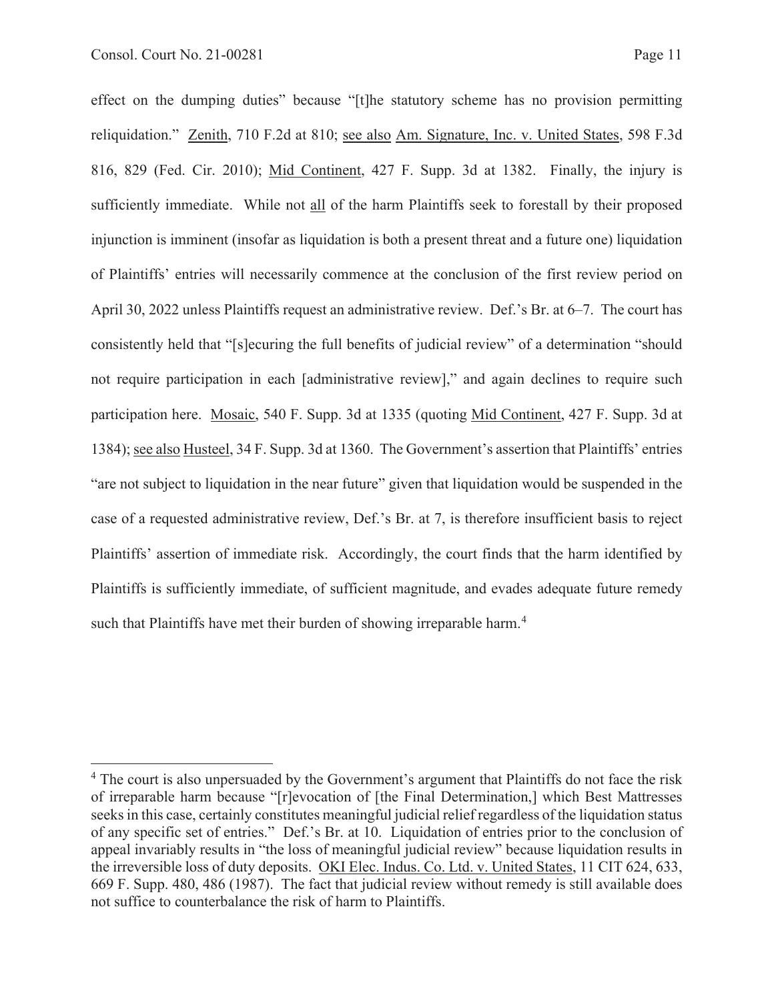effect on the dumping duties" because "[t]he statutory scheme has no provision permitting reliquidation." Zenith, 710 F.2d at 810; see also Am. Signature, Inc. v. United States, 598 F.3d 816, 829 (Fed. Cir. 2010); Mid Continent, 427 F. Supp. 3d at 1382. Finally, the injury is sufficiently immediate. While not all of the harm Plaintiffs seek to forestall by their proposed injunction is imminent (insofar as liquidation is both a present threat and a future one) liquidation of Plaintiffs' entries will necessarily commence at the conclusion of the first review period on April 30, 2022 unless Plaintiffs request an administrative review. Def.'s Br. at 6–7. The court has consistently held that "[s]ecuring the full benefits of judicial review" of a determination "should not require participation in each [administrative review]," and again declines to require such participation here. Mosaic, 540 F. Supp. 3d at 1335 (quoting Mid Continent, 427 F. Supp. 3d at 1384); see also Husteel, 34 F. Supp. 3d at 1360. The Government's assertion that Plaintiffs' entries "are not subject to liquidation in the near future" given that liquidation would be suspended in the case of a requested administrative review, Def.'s Br. at 7, is therefore insufficient basis to reject Plaintiffs' assertion of immediate risk. Accordingly, the court finds that the harm identified by Plaintiffs is sufficiently immediate, of sufficient magnitude, and evades adequate future remedy such that Plaintiffs have met their burden of showing irreparable harm.<sup>4</sup>

<sup>&</sup>lt;sup>4</sup> The court is also unpersuaded by the Government's argument that Plaintiffs do not face the risk of irreparable harm because "[r]evocation of [the Final Determination,] which Best Mattresses seeks in this case, certainly constitutes meaningful judicial relief regardless of the liquidation status of any specific set of entries." Def.'s Br. at 10. Liquidation of entries prior to the conclusion of appeal invariably results in "the loss of meaningful judicial review" because liquidation results in the irreversible loss of duty deposits. OKI Elec. Indus. Co. Ltd. v. United States, 11 CIT 624, 633, 669 F. Supp. 480, 486 (1987). The fact that judicial review without remedy is still available does not suffice to counterbalance the risk of harm to Plaintiffs.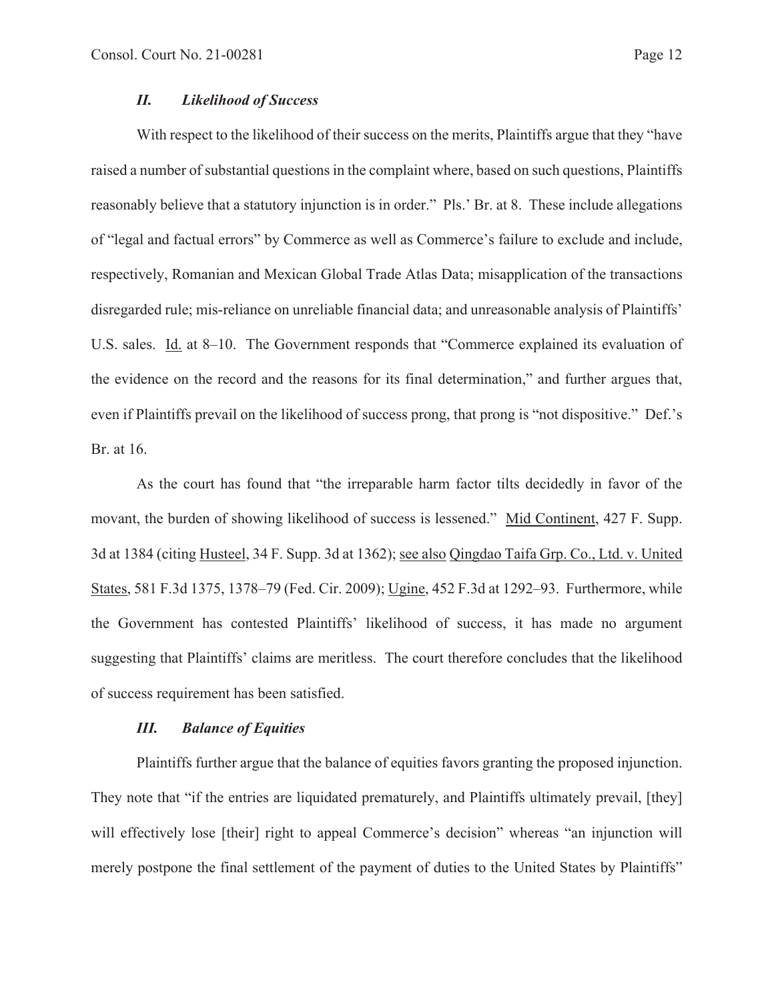# *II. Likelihood of Success*

With respect to the likelihood of their success on the merits, Plaintiffs argue that they "have raised a number of substantial questions in the complaint where, based on such questions, Plaintiffs reasonably believe that a statutory injunction is in order." Pls.' Br. at 8. These include allegations of "legal and factual errors" by Commerce as well as Commerce's failure to exclude and include, respectively, Romanian and Mexican Global Trade Atlas Data; misapplication of the transactions disregarded rule; mis-reliance on unreliable financial data; and unreasonable analysis of Plaintiffs' U.S. sales. Id. at 8–10. The Government responds that "Commerce explained its evaluation of the evidence on the record and the reasons for its final determination," and further argues that, even if Plaintiffs prevail on the likelihood of success prong, that prong is "not dispositive." Def.'s Br. at 16.

As the court has found that "the irreparable harm factor tilts decidedly in favor of the movant, the burden of showing likelihood of success is lessened." Mid Continent, 427 F. Supp. 3d at 1384 (citing Husteel, 34 F. Supp. 3d at 1362); see also Qingdao Taifa Grp. Co., Ltd. v. United States, 581 F.3d 1375, 1378–79 (Fed. Cir. 2009); Ugine, 452 F.3d at 1292–93. Furthermore, while the Government has contested Plaintiffs' likelihood of success, it has made no argument suggesting that Plaintiffs' claims are meritless. The court therefore concludes that the likelihood of success requirement has been satisfied.

### *III. Balance of Equities*

Plaintiffs further argue that the balance of equities favors granting the proposed injunction. They note that "if the entries are liquidated prematurely, and Plaintiffs ultimately prevail, [they] will effectively lose [their] right to appeal Commerce's decision" whereas "an injunction will merely postpone the final settlement of the payment of duties to the United States by Plaintiffs"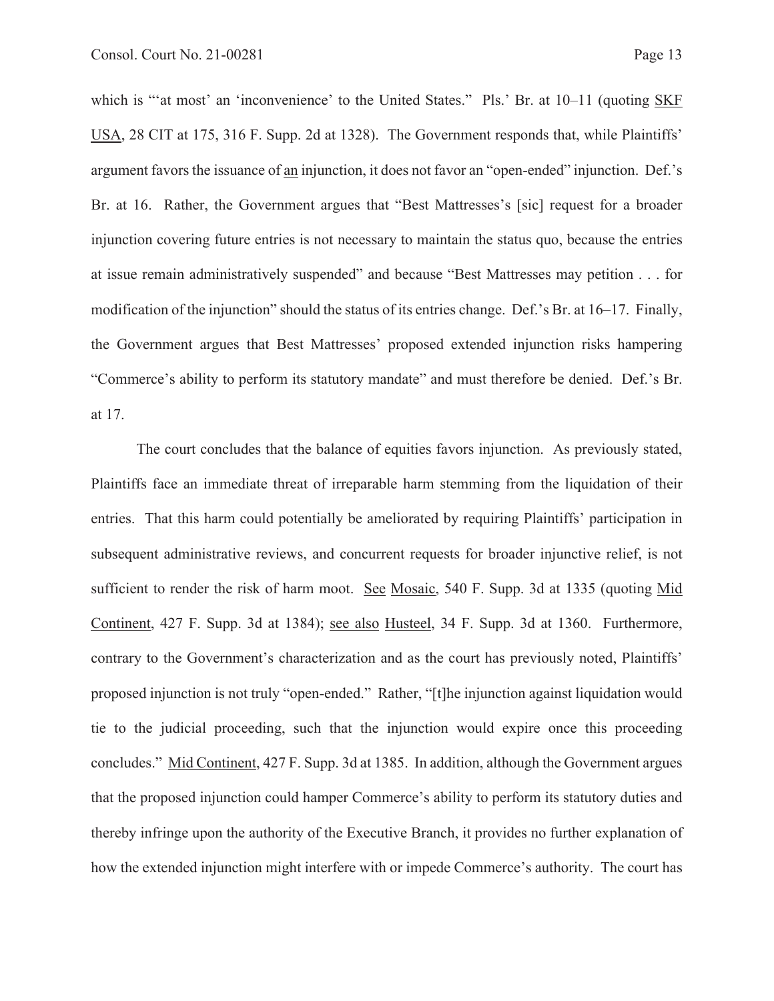which is "'at most' an 'inconvenience' to the United States." Pls.' Br. at 10-11 (quoting SKF USA, 28 CIT at 175, 316 F. Supp. 2d at 1328). The Government responds that, while Plaintiffs' argument favors the issuance of an injunction, it does not favor an "open-ended" injunction. Def.'s Br. at 16. Rather, the Government argues that "Best Mattresses's [sic] request for a broader injunction covering future entries is not necessary to maintain the status quo, because the entries at issue remain administratively suspended" and because "Best Mattresses may petition . . . for modification of the injunction" should the status of its entries change. Def.'s Br. at 16–17. Finally, the Government argues that Best Mattresses' proposed extended injunction risks hampering "Commerce's ability to perform its statutory mandate" and must therefore be denied. Def.'s Br. at 17.

The court concludes that the balance of equities favors injunction. As previously stated, Plaintiffs face an immediate threat of irreparable harm stemming from the liquidation of their entries. That this harm could potentially be ameliorated by requiring Plaintiffs' participation in subsequent administrative reviews, and concurrent requests for broader injunctive relief, is not sufficient to render the risk of harm moot. See Mosaic, 540 F. Supp. 3d at 1335 (quoting Mid Continent, 427 F. Supp. 3d at 1384); see also Husteel, 34 F. Supp. 3d at 1360. Furthermore, contrary to the Government's characterization and as the court has previously noted, Plaintiffs' proposed injunction is not truly "open-ended." Rather, "[t]he injunction against liquidation would tie to the judicial proceeding, such that the injunction would expire once this proceeding concludes." Mid Continent, 427 F. Supp. 3d at 1385. In addition, although the Government argues that the proposed injunction could hamper Commerce's ability to perform its statutory duties and thereby infringe upon the authority of the Executive Branch, it provides no further explanation of how the extended injunction might interfere with or impede Commerce's authority. The court has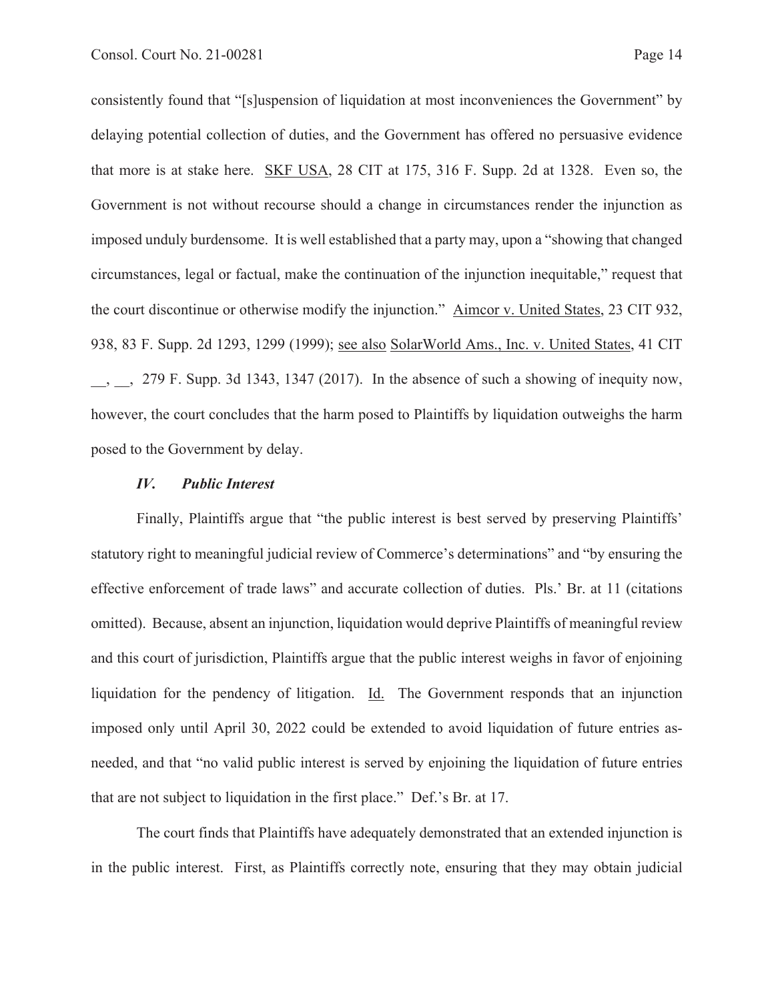consistently found that "[s]uspension of liquidation at most inconveniences the Government" by delaying potential collection of duties, and the Government has offered no persuasive evidence that more is at stake here. SKF USA, 28 CIT at 175, 316 F. Supp. 2d at 1328. Even so, the Government is not without recourse should a change in circumstances render the injunction as imposed unduly burdensome. It is well established that a party may, upon a "showing that changed circumstances, legal or factual, make the continuation of the injunction inequitable," request that the court discontinue or otherwise modify the injunction." Aimcor v. United States, 23 CIT 932, 938, 83 F. Supp. 2d 1293, 1299 (1999); see also SolarWorld Ams., Inc. v. United States, 41 CIT \_\_, \_\_, 279 F. Supp. 3d 1343, 1347 (2017). In the absence of such a showing of inequity now, however, the court concludes that the harm posed to Plaintiffs by liquidation outweighs the harm posed to the Government by delay.

### *IV. Public Interest*

Finally, Plaintiffs argue that "the public interest is best served by preserving Plaintiffs' statutory right to meaningful judicial review of Commerce's determinations" and "by ensuring the effective enforcement of trade laws" and accurate collection of duties. Pls.' Br. at 11 (citations omitted). Because, absent an injunction, liquidation would deprive Plaintiffs of meaningful review and this court of jurisdiction, Plaintiffs argue that the public interest weighs in favor of enjoining liquidation for the pendency of litigation. Id. The Government responds that an injunction imposed only until April 30, 2022 could be extended to avoid liquidation of future entries asneeded, and that "no valid public interest is served by enjoining the liquidation of future entries that are not subject to liquidation in the first place." Def.'s Br. at 17.

The court finds that Plaintiffs have adequately demonstrated that an extended injunction is in the public interest. First, as Plaintiffs correctly note, ensuring that they may obtain judicial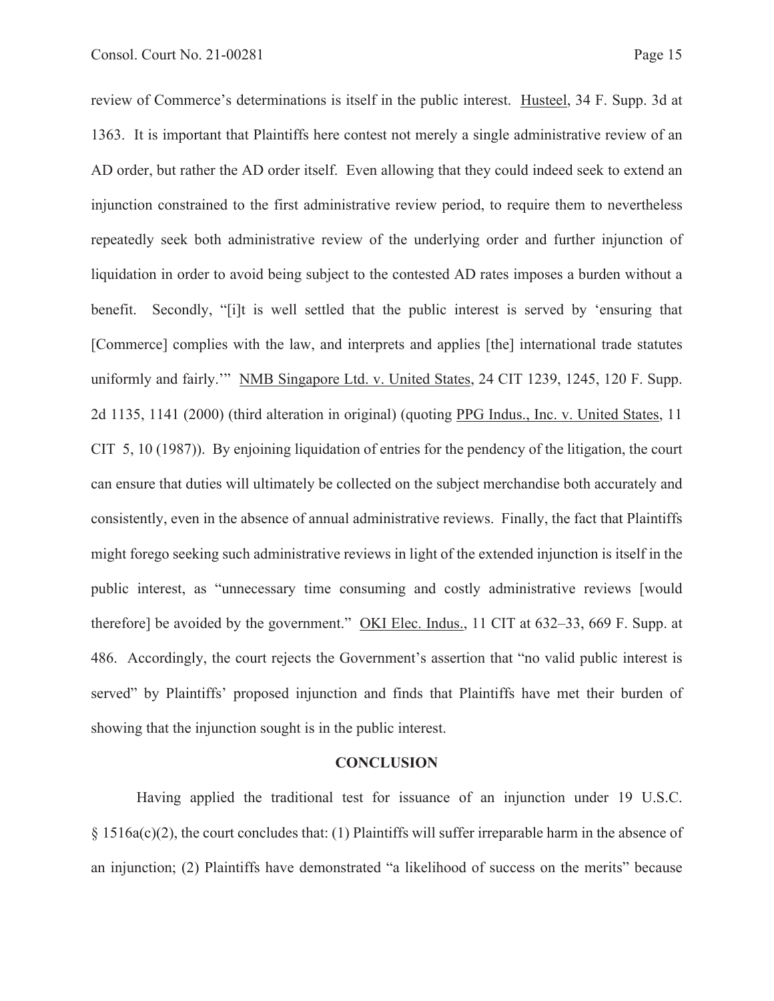review of Commerce's determinations is itself in the public interest. Husteel, 34 F. Supp. 3d at 1363. It is important that Plaintiffs here contest not merely a single administrative review of an AD order, but rather the AD order itself. Even allowing that they could indeed seek to extend an injunction constrained to the first administrative review period, to require them to nevertheless repeatedly seek both administrative review of the underlying order and further injunction of liquidation in order to avoid being subject to the contested AD rates imposes a burden without a benefit. Secondly, "[i]t is well settled that the public interest is served by 'ensuring that [Commerce] complies with the law, and interprets and applies [the] international trade statutes uniformly and fairly.'" NMB Singapore Ltd. v. United States, 24 CIT 1239, 1245, 120 F. Supp. 2d 1135, 1141 (2000) (third alteration in original) (quoting PPG Indus., Inc. v. United States, 11 CIT 5, 10 (1987)). By enjoining liquidation of entries for the pendency of the litigation, the court can ensure that duties will ultimately be collected on the subject merchandise both accurately and consistently, even in the absence of annual administrative reviews. Finally, the fact that Plaintiffs might forego seeking such administrative reviews in light of the extended injunction is itself in the public interest, as "unnecessary time consuming and costly administrative reviews [would therefore] be avoided by the government." OKI Elec. Indus., 11 CIT at 632–33, 669 F. Supp. at 486. Accordingly, the court rejects the Government's assertion that "no valid public interest is served" by Plaintiffs' proposed injunction and finds that Plaintiffs have met their burden of showing that the injunction sought is in the public interest.

#### **CONCLUSION**

Having applied the traditional test for issuance of an injunction under 19 U.S.C. § 1516a(c)(2), the court concludes that: (1) Plaintiffs will suffer irreparable harm in the absence of an injunction; (2) Plaintiffs have demonstrated "a likelihood of success on the merits" because